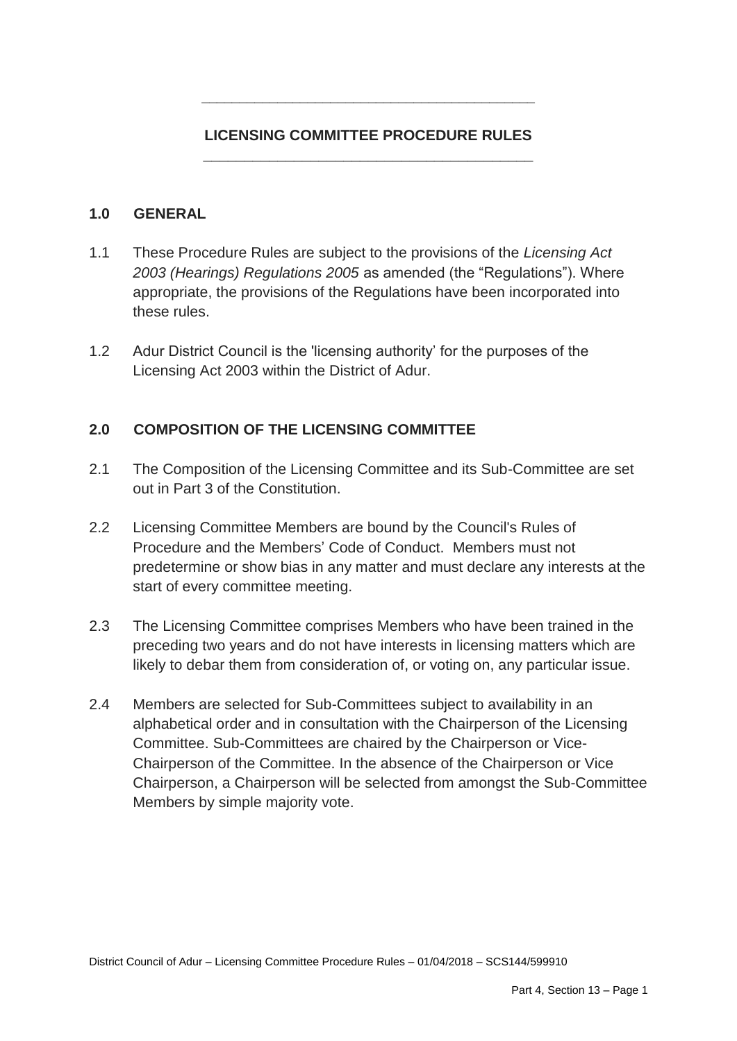# **LICENSING COMMITTEE PROCEDURE RULES \_\_\_\_\_\_\_\_\_\_\_\_\_\_\_\_\_\_\_\_\_\_\_\_\_\_\_\_\_\_\_\_\_\_\_\_\_\_\_\_**

**\_\_\_\_\_\_\_\_\_\_\_\_\_\_\_\_\_\_\_\_\_\_\_\_\_\_\_\_\_\_\_\_\_\_\_\_\_\_\_\_\_\_\_\_**

### **1.0 GENERAL**

- 1.1 These Procedure Rules are subject to the provisions of the *Licensing Act 2003 (Hearings) Regulations 2005* as amended (the "Regulations"). Where appropriate, the provisions of the Regulations have been incorporated into these rules.
- 1.2 Adur District Council is the 'licensing authority' for the purposes of the Licensing Act 2003 within the District of Adur.

# **2.0 COMPOSITION OF THE LICENSING COMMITTEE**

- 2.1 The Composition of the Licensing Committee and its Sub-Committee are set out in Part 3 of the Constitution.
- 2.2 Licensing Committee Members are bound by the Council's Rules of Procedure and the Members' Code of Conduct. Members must not predetermine or show bias in any matter and must declare any interests at the start of every committee meeting.
- 2.3 The Licensing Committee comprises Members who have been trained in the preceding two years and do not have interests in licensing matters which are likely to debar them from consideration of, or voting on, any particular issue.
- 2.4 Members are selected for Sub-Committees subject to availability in an alphabetical order and in consultation with the Chairperson of the Licensing Committee. Sub-Committees are chaired by the Chairperson or Vice-Chairperson of the Committee. In the absence of the Chairperson or Vice Chairperson, a Chairperson will be selected from amongst the Sub-Committee Members by simple majority vote.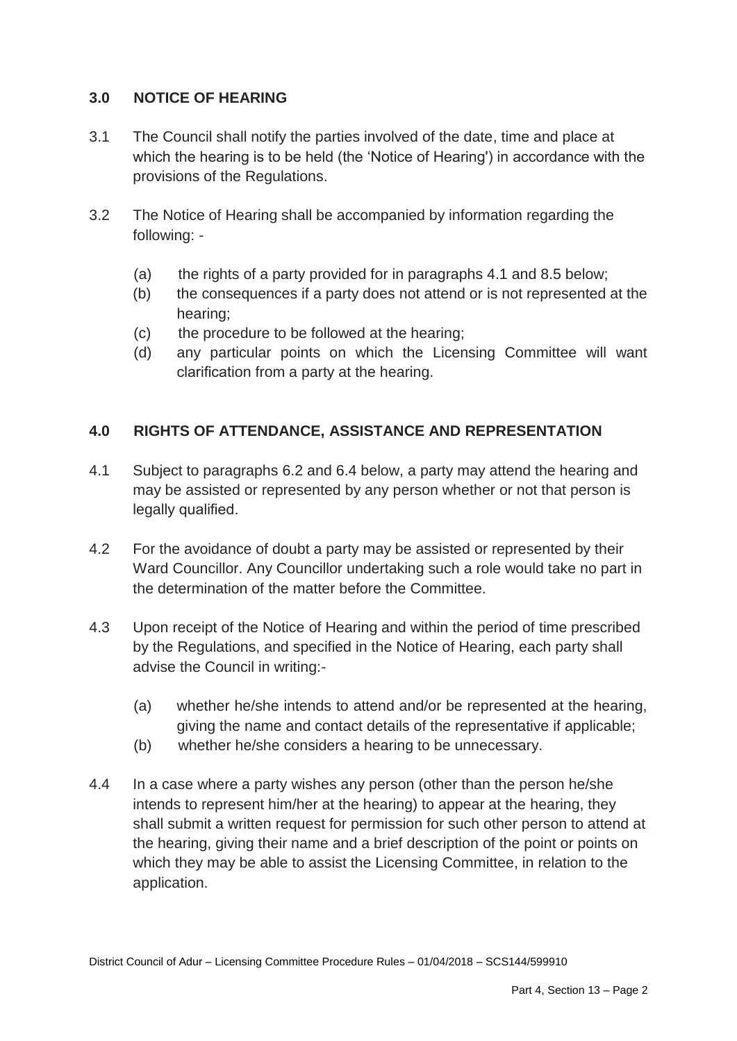# **3.0 NOTICE OF HEARING**

- 3.1 The Council shall notify the parties involved of the date, time and place at which the hearing is to be held (the 'Notice of Hearing') in accordance with the provisions of the Regulations.
- 3.2 The Notice of Hearing shall be accompanied by information regarding the following: -
	- (a) the rights of a party provided for in paragraphs 4.1 and 8.5 below;
	- (b) the consequences if a party does not attend or is not represented at the hearing;
	- (c) the procedure to be followed at the hearing;
	- (d) any particular points on which the Licensing Committee will want clarification from a party at the hearing.

# **4.0 RIGHTS OF ATTENDANCE, ASSISTANCE AND REPRESENTATION**

- 4.1 Subject to paragraphs 6.2 and 6.4 below, a party may attend the hearing and may be assisted or represented by any person whether or not that person is legally qualified.
- 4.2 For the avoidance of doubt a party may be assisted or represented by their Ward Councillor. Any Councillor undertaking such a role would take no part in the determination of the matter before the Committee.
- 4.3 Upon receipt of the Notice of Hearing and within the period of time prescribed by the Regulations, and specified in the Notice of Hearing, each party shall advise the Council in writing:-
	- (a) whether he/she intends to attend and/or be represented at the hearing, giving the name and contact details of the representative if applicable;
	- (b) whether he/she considers a hearing to be unnecessary.
- 4.4 In a case where a party wishes any person (other than the person he/she intends to represent him/her at the hearing) to appear at the hearing, they shall submit a written request for permission for such other person to attend at the hearing, giving their name and a brief description of the point or points on which they may be able to assist the Licensing Committee, in relation to the application.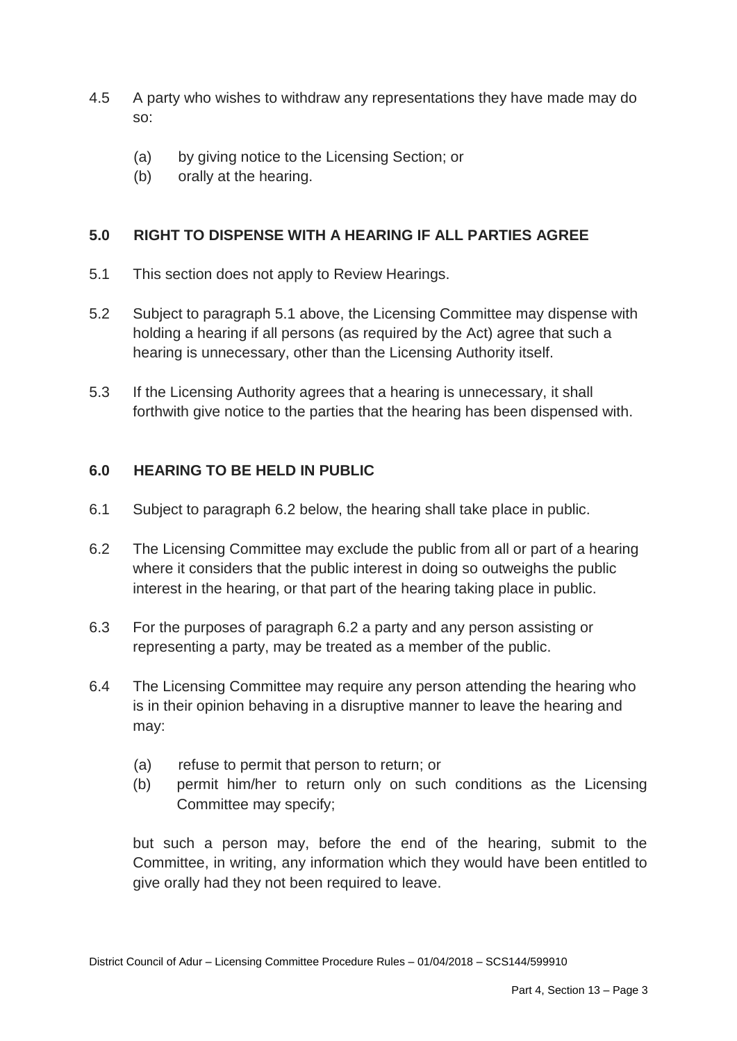- 4.5 A party who wishes to withdraw any representations they have made may do so:
	- (a) by giving notice to the Licensing Section; or
	- (b) orally at the hearing.

### **5.0 RIGHT TO DISPENSE WITH A HEARING IF ALL PARTIES AGREE**

- 5.1 This section does not apply to Review Hearings.
- 5.2 Subject to paragraph 5.1 above, the Licensing Committee may dispense with holding a hearing if all persons (as required by the Act) agree that such a hearing is unnecessary, other than the Licensing Authority itself.
- 5.3 If the Licensing Authority agrees that a hearing is unnecessary, it shall forthwith give notice to the parties that the hearing has been dispensed with.

### **6.0 HEARING TO BE HELD IN PUBLIC**

- 6.1 Subject to paragraph 6.2 below, the hearing shall take place in public.
- 6.2 The Licensing Committee may exclude the public from all or part of a hearing where it considers that the public interest in doing so outweighs the public interest in the hearing, or that part of the hearing taking place in public.
- 6.3 For the purposes of paragraph 6.2 a party and any person assisting or representing a party, may be treated as a member of the public.
- 6.4 The Licensing Committee may require any person attending the hearing who is in their opinion behaving in a disruptive manner to leave the hearing and may:
	- (a) refuse to permit that person to return; or
	- (b) permit him/her to return only on such conditions as the Licensing Committee may specify;

but such a person may, before the end of the hearing, submit to the Committee, in writing, any information which they would have been entitled to give orally had they not been required to leave.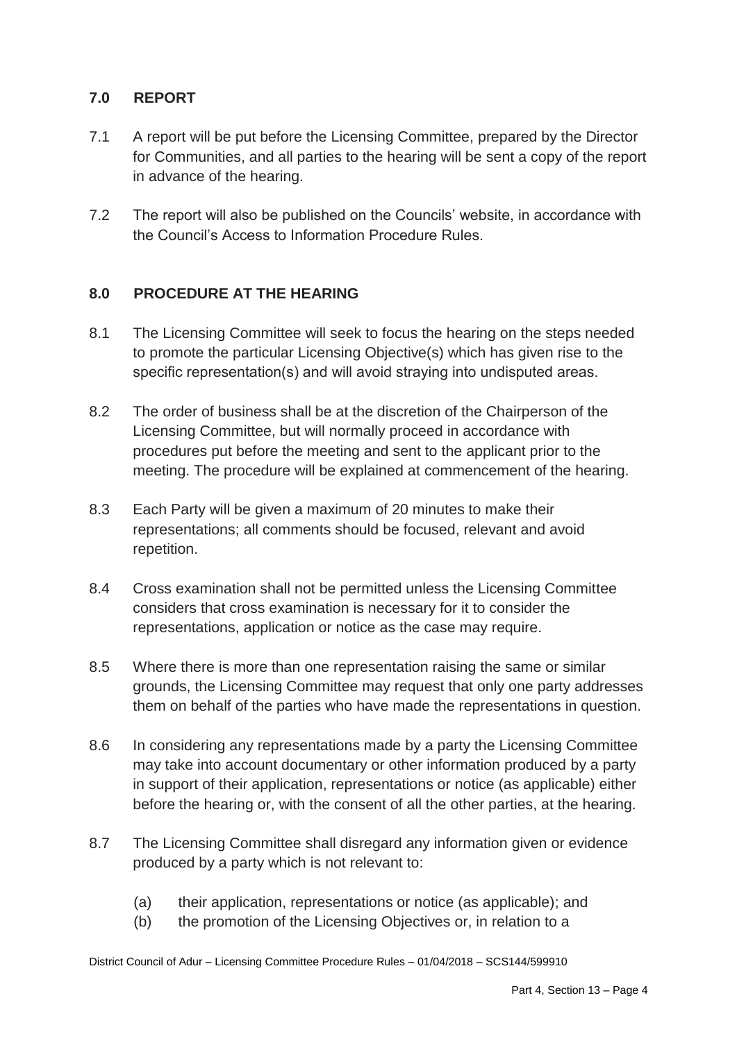# **7.0 REPORT**

- 7.1 A report will be put before the Licensing Committee, prepared by the Director for Communities, and all parties to the hearing will be sent a copy of the report in advance of the hearing.
- 7.2 The report will also be published on the Councils' website, in accordance with the Council's Access to Information Procedure Rules.

# **8.0 PROCEDURE AT THE HEARING**

- 8.1 The Licensing Committee will seek to focus the hearing on the steps needed to promote the particular Licensing Objective(s) which has given rise to the specific representation(s) and will avoid straying into undisputed areas.
- 8.2 The order of business shall be at the discretion of the Chairperson of the Licensing Committee, but will normally proceed in accordance with procedures put before the meeting and sent to the applicant prior to the meeting. The procedure will be explained at commencement of the hearing.
- 8.3 Each Party will be given a maximum of 20 minutes to make their representations; all comments should be focused, relevant and avoid repetition.
- 8.4 Cross examination shall not be permitted unless the Licensing Committee considers that cross examination is necessary for it to consider the representations, application or notice as the case may require.
- 8.5 Where there is more than one representation raising the same or similar grounds, the Licensing Committee may request that only one party addresses them on behalf of the parties who have made the representations in question.
- 8.6 In considering any representations made by a party the Licensing Committee may take into account documentary or other information produced by a party in support of their application, representations or notice (as applicable) either before the hearing or, with the consent of all the other parties, at the hearing.
- 8.7 The Licensing Committee shall disregard any information given or evidence produced by a party which is not relevant to:
	- (a) their application, representations or notice (as applicable); and
	- (b) the promotion of the Licensing Objectives or, in relation to a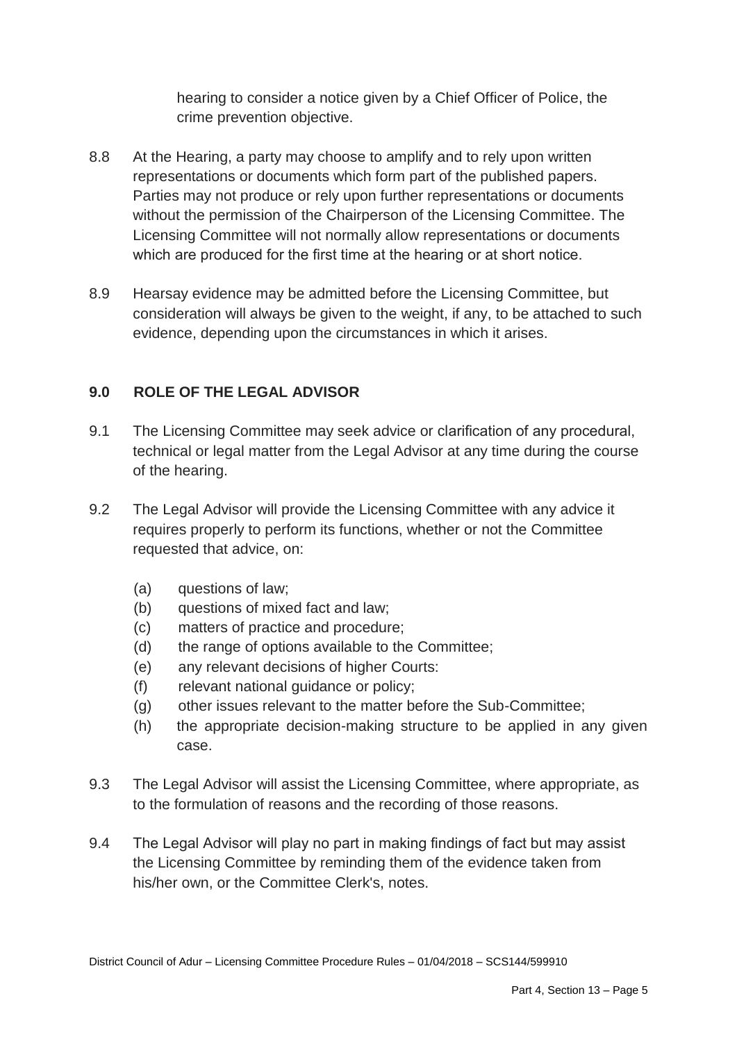hearing to consider a notice given by a Chief Officer of Police, the crime prevention objective.

- 8.8 At the Hearing, a party may choose to amplify and to rely upon written representations or documents which form part of the published papers. Parties may not produce or rely upon further representations or documents without the permission of the Chairperson of the Licensing Committee. The Licensing Committee will not normally allow representations or documents which are produced for the first time at the hearing or at short notice.
- 8.9 Hearsay evidence may be admitted before the Licensing Committee, but consideration will always be given to the weight, if any, to be attached to such evidence, depending upon the circumstances in which it arises.

# **9.0 ROLE OF THE LEGAL ADVISOR**

- 9.1 The Licensing Committee may seek advice or clarification of any procedural, technical or legal matter from the Legal Advisor at any time during the course of the hearing.
- 9.2 The Legal Advisor will provide the Licensing Committee with any advice it requires properly to perform its functions, whether or not the Committee requested that advice, on:
	- (a) questions of law;
	- (b) questions of mixed fact and law;
	- (c) matters of practice and procedure;
	- (d) the range of options available to the Committee;
	- (e) any relevant decisions of higher Courts:
	- (f) relevant national guidance or policy;
	- (g) other issues relevant to the matter before the Sub-Committee;
	- (h) the appropriate decision-making structure to be applied in any given case.
- 9.3 The Legal Advisor will assist the Licensing Committee, where appropriate, as to the formulation of reasons and the recording of those reasons.
- 9.4 The Legal Advisor will play no part in making findings of fact but may assist the Licensing Committee by reminding them of the evidence taken from his/her own, or the Committee Clerk's, notes.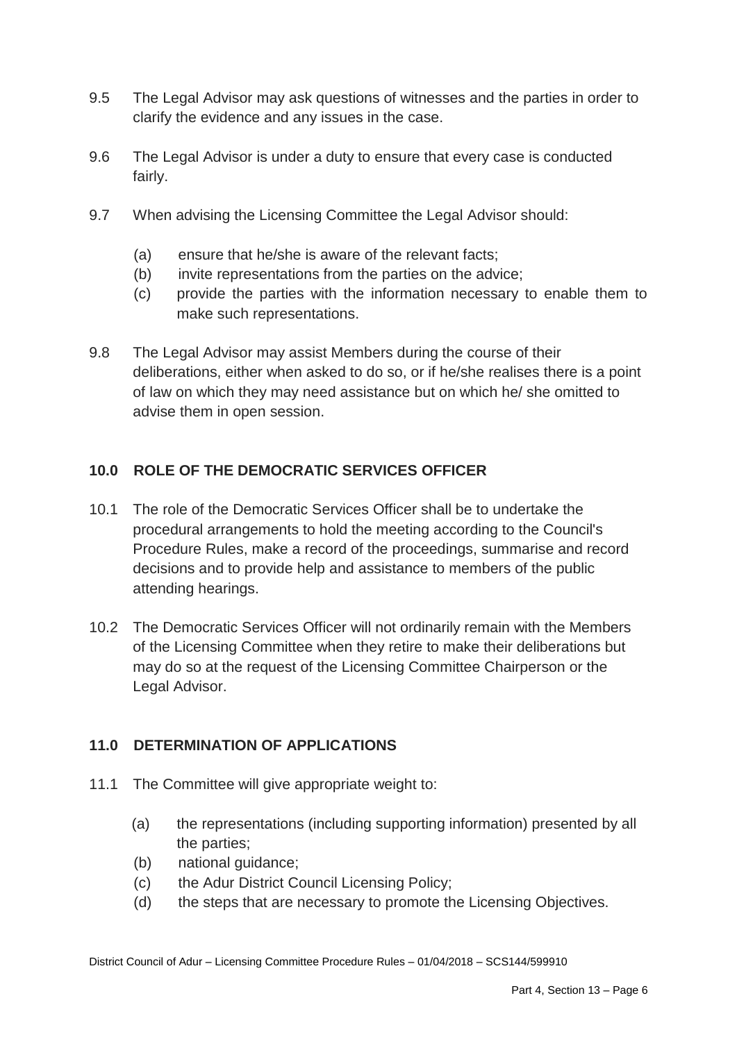- 9.5 The Legal Advisor may ask questions of witnesses and the parties in order to clarify the evidence and any issues in the case.
- 9.6 The Legal Advisor is under a duty to ensure that every case is conducted fairly.
- 9.7 When advising the Licensing Committee the Legal Advisor should:
	- (a) ensure that he/she is aware of the relevant facts;
	- (b) invite representations from the parties on the advice;
	- (c) provide the parties with the information necessary to enable them to make such representations.
- 9.8 The Legal Advisor may assist Members during the course of their deliberations, either when asked to do so, or if he/she realises there is a point of law on which they may need assistance but on which he/ she omitted to advise them in open session.

# **10.0 ROLE OF THE DEMOCRATIC SERVICES OFFICER**

- 10.1 The role of the Democratic Services Officer shall be to undertake the procedural arrangements to hold the meeting according to the Council's Procedure Rules, make a record of the proceedings, summarise and record decisions and to provide help and assistance to members of the public attending hearings.
- 10.2 The Democratic Services Officer will not ordinarily remain with the Members of the Licensing Committee when they retire to make their deliberations but may do so at the request of the Licensing Committee Chairperson or the Legal Advisor.

# **11.0 DETERMINATION OF APPLICATIONS**

- 11.1 The Committee will give appropriate weight to:
	- (a) the representations (including supporting information) presented by all the parties;
	- (b) national guidance;
	- (c) the Adur District Council Licensing Policy;
	- (d) the steps that are necessary to promote the Licensing Objectives.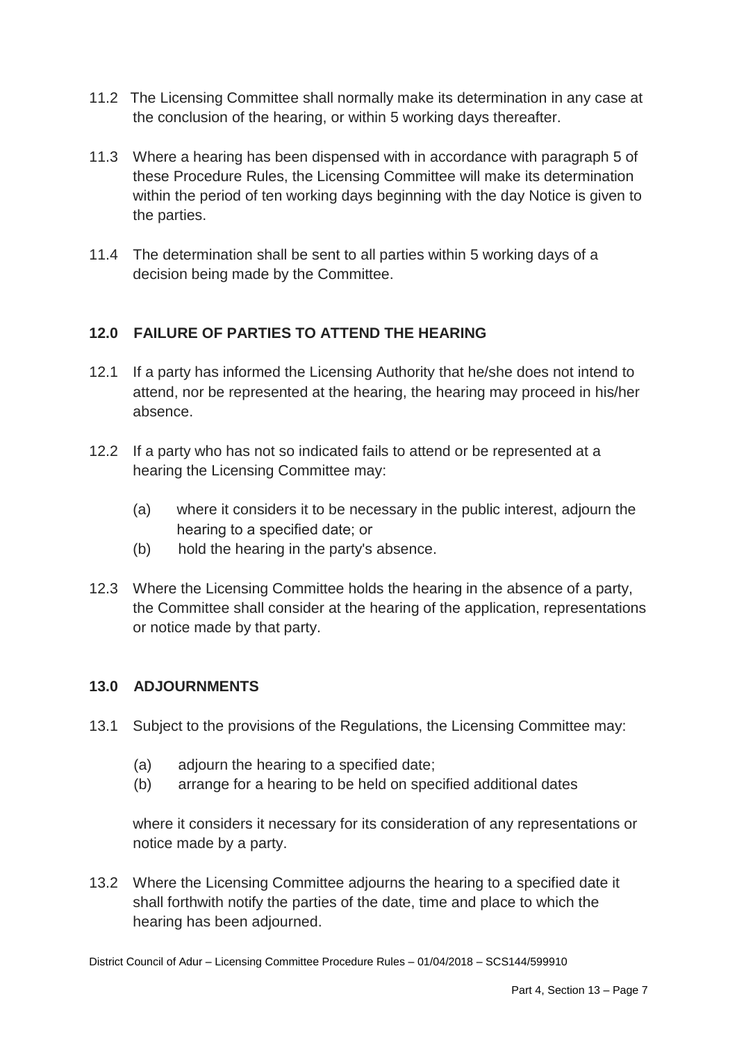- 11.2 The Licensing Committee shall normally make its determination in any case at the conclusion of the hearing, or within 5 working days thereafter.
- 11.3 Where a hearing has been dispensed with in accordance with paragraph 5 of these Procedure Rules, the Licensing Committee will make its determination within the period of ten working days beginning with the day Notice is given to the parties.
- 11.4 The determination shall be sent to all parties within 5 working days of a decision being made by the Committee.

# **12.0 FAILURE OF PARTIES TO ATTEND THE HEARING**

- 12.1 If a party has informed the Licensing Authority that he/she does not intend to attend, nor be represented at the hearing, the hearing may proceed in his/her absence.
- 12.2 If a party who has not so indicated fails to attend or be represented at a hearing the Licensing Committee may:
	- (a) where it considers it to be necessary in the public interest, adjourn the hearing to a specified date; or
	- (b) hold the hearing in the party's absence.
- 12.3 Where the Licensing Committee holds the hearing in the absence of a party, the Committee shall consider at the hearing of the application, representations or notice made by that party.

# **13.0 ADJOURNMENTS**

- 13.1 Subject to the provisions of the Regulations, the Licensing Committee may:
	- (a) adjourn the hearing to a specified date;
	- (b) arrange for a hearing to be held on specified additional dates

where it considers it necessary for its consideration of any representations or notice made by a party.

13.2 Where the Licensing Committee adjourns the hearing to a specified date it shall forthwith notify the parties of the date, time and place to which the hearing has been adjourned.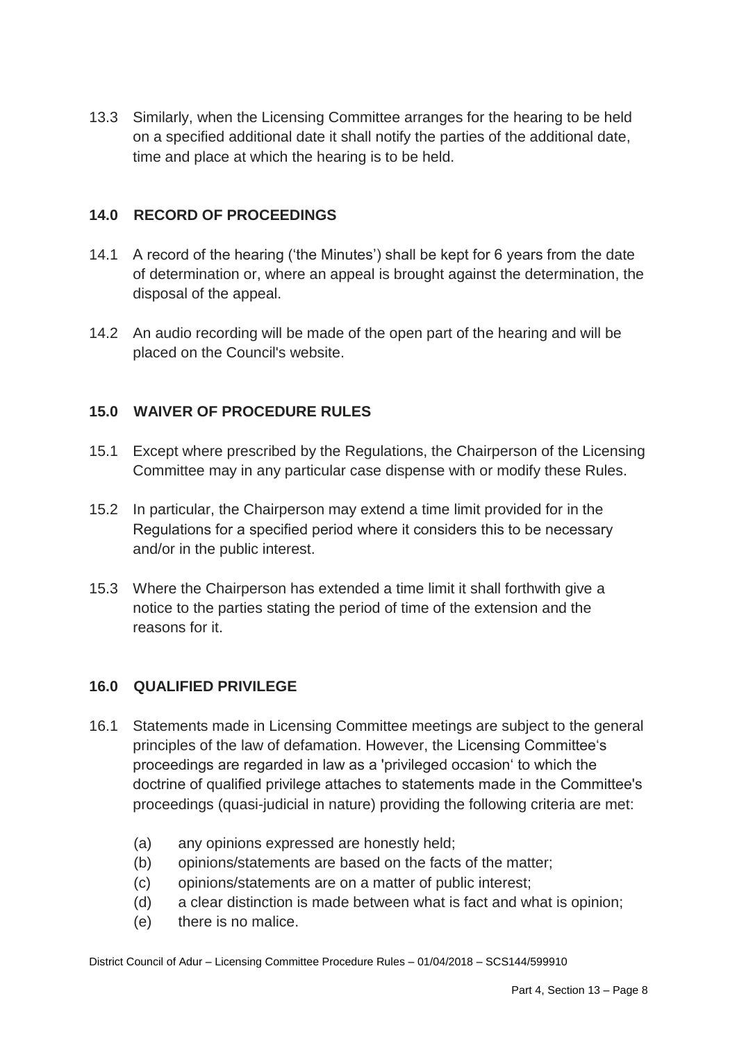13.3 Similarly, when the Licensing Committee arranges for the hearing to be held on a specified additional date it shall notify the parties of the additional date, time and place at which the hearing is to be held.

## **14.0 RECORD OF PROCEEDINGS**

- 14.1 A record of the hearing ('the Minutes') shall be kept for 6 years from the date of determination or, where an appeal is brought against the determination, the disposal of the appeal.
- 14.2 An audio recording will be made of the open part of the hearing and will be placed on the Council's website.

### **15.0 WAIVER OF PROCEDURE RULES**

- 15.1 Except where prescribed by the Regulations, the Chairperson of the Licensing Committee may in any particular case dispense with or modify these Rules.
- 15.2 In particular, the Chairperson may extend a time limit provided for in the Regulations for a specified period where it considers this to be necessary and/or in the public interest.
- 15.3 Where the Chairperson has extended a time limit it shall forthwith give a notice to the parties stating the period of time of the extension and the reasons for it.

### **16.0 QUALIFIED PRIVILEGE**

- 16.1 Statements made in Licensing Committee meetings are subject to the general principles of the law of defamation. However, the Licensing Committee's proceedings are regarded in law as a 'privileged occasion' to which the doctrine of qualified privilege attaches to statements made in the Committee's proceedings (quasi-judicial in nature) providing the following criteria are met:
	- (a) any opinions expressed are honestly held;
	- (b) opinions/statements are based on the facts of the matter;
	- (c) opinions/statements are on a matter of public interest;
	- (d) a clear distinction is made between what is fact and what is opinion;
	- (e) there is no malice.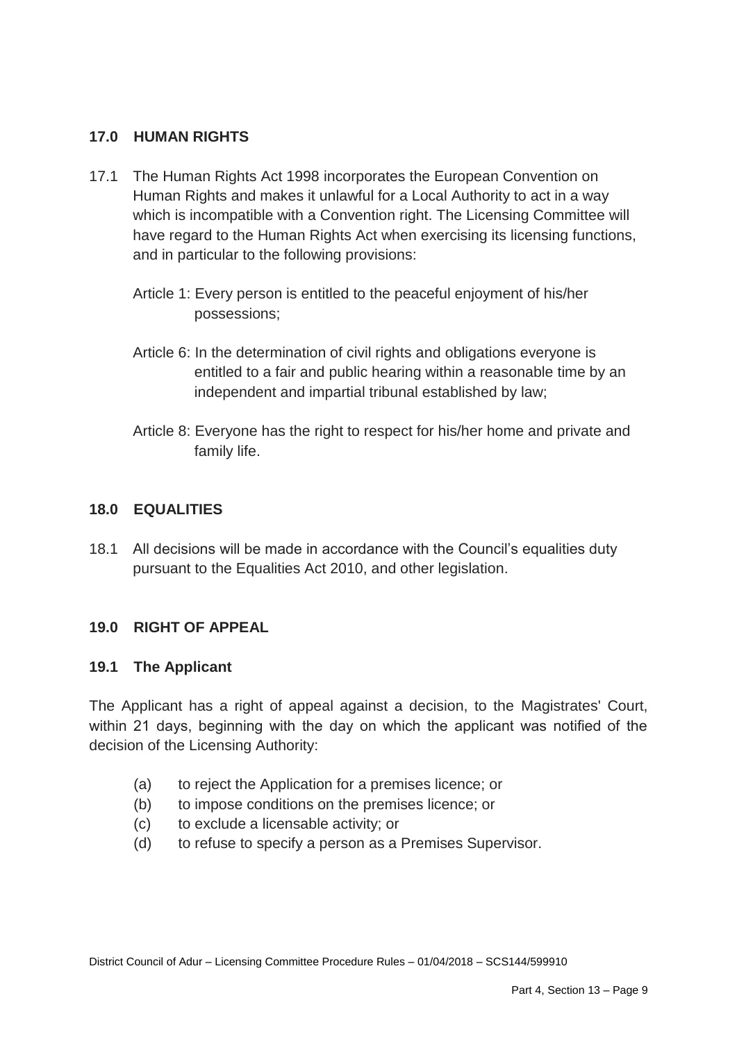## **17.0 HUMAN RIGHTS**

- 17.1 The Human Rights Act 1998 incorporates the European Convention on Human Rights and makes it unlawful for a Local Authority to act in a way which is incompatible with a Convention right. The Licensing Committee will have regard to the Human Rights Act when exercising its licensing functions, and in particular to the following provisions:
	- Article 1: Every person is entitled to the peaceful enjoyment of his/her possessions;
	- Article 6: In the determination of civil rights and obligations everyone is entitled to a fair and public hearing within a reasonable time by an independent and impartial tribunal established by law;
	- Article 8: Everyone has the right to respect for his/her home and private and family life.

### **18.0 EQUALITIES**

18.1 All decisions will be made in accordance with the Council's equalities duty pursuant to the Equalities Act 2010, and other legislation.

### **19.0 RIGHT OF APPEAL**

### **19.1 The Applicant**

The Applicant has a right of appeal against a decision, to the Magistrates' Court, within 21 days, beginning with the day on which the applicant was notified of the decision of the Licensing Authority:

- (a) to reject the Application for a premises licence; or
- (b) to impose conditions on the premises licence; or
- (c) to exclude a licensable activity; or
- (d) to refuse to specify a person as a Premises Supervisor.